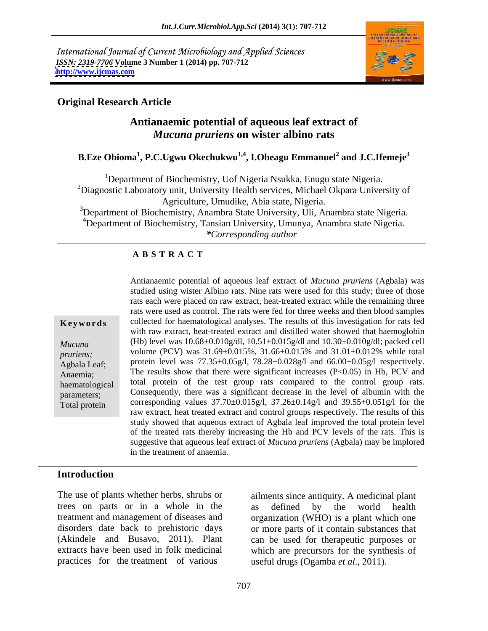International Journal of Current Microbiology and Applied Sciences *ISSN: 2319-7706* **Volume 3 Number 1 (2014) pp. 707-712 <http://www.ijcmas.com>**



# **Original Research Article**

# **Antianaemic potential of aqueous leaf extract of**  *Mucuna pruriens* **on wister albino rats**

### **B.Eze Obioma<sup>1</sup> , P.C.Ugwu Okechukwu1,4 , I.Obeagu Emmanuel<sup>2</sup> and J.C.Ifemeje<sup>3</sup>**

<sup>1</sup>Department of Biochemistry, Uof Nigeria Nsukka, Enugu state Nigeria. <sup>2</sup>Diagnostic Laboratory unit, University Health services, Michael Okpara University of Agriculture, Umudike, Abia state, Nigeria.

<sup>3</sup>Department of Biochemistry, Anambra State University, Uli, Anambra state Nigeria. <sup>4</sup>Department of Biochemistry, Tansian University, Umunya, Anambra state Nigeria. *\*Corresponding author* 

## **A B S T R A C T**

**Keywords** collected for haematological analyses. The results of this investigation for rats fed *Mucuna* (*Hb*) level was  $10.68 \pm 0.010$ g/dl,  $10.51 \pm 0.015$ g/dl and  $10.30 \pm 0.010$ g/dl; packed cell *pruriens;*volume (PCV) was  $31.69 \pm 0.015\%$ ,  $31.66 \pm 0.015\%$  and  $31.01 \pm 0.012\%$  while total Agbala Leaf; protein level was  $77.35+0.05g/1$ ,  $78.28+0.028g/1$  and  $66.00+0.05g/1$  respectively. Anaemia; The results show that there were significant increases (P<0.05) in Hb, PCV and haematological total protein of the test group rats compared to the control group rats. parameters; Consequently, there was a significant decrease in the level of albumin with the Antianaemic potential of aqueous leaf extract of *Mucuna* pruriens (Agbala) was<br>studied using wister Albino rats. Nine rats were used for this study; three of those<br>rats each were placed on raw extract, heat-treated extrac studied using wister Albino rats. Nine rats were used for this study; three of those rats each were placed on raw extract, heat-treated extract while the remaining three rats were used as control. The rats were fed for three weeks and then blood samples with raw extract, heat-treated extract and distilled water showed that haemoglobin corresponding values  $37.70 \pm 0.015$  g/l,  $37.26 \pm 0.14$  g/l and  $39.55 \pm 0.051$  g/l for the raw extract, heat treated extract and control groups respectively. The results of this study showed that aqueous extract of Agbala leaf improved the total protein level of the treated rats thereby increasing the Hb and PCV levels of the rats. This is suggestive that aqueous leaf extract of *Mucuna pruriens* (Agbala) may be implored in the treatment of anaemia.

# **Introduction**

trees on parts or in a whole in the as defined by the world health practices for the treatment of various

The use of plants whether herbs, shrubs or ailments since antiquity. A medicinal plant treatment and management of diseases and organization (WHO) is a plant which one disorders date back to prehistoric days or more parts of it contain substances that (Akindele and Busavo, 2011). Plant can be used for therapeutic purposes or extracts have been used in folk medicinal which are precursors for the synthesis of as defined by the world health useful drugs (Ogamba *et al*., 2011).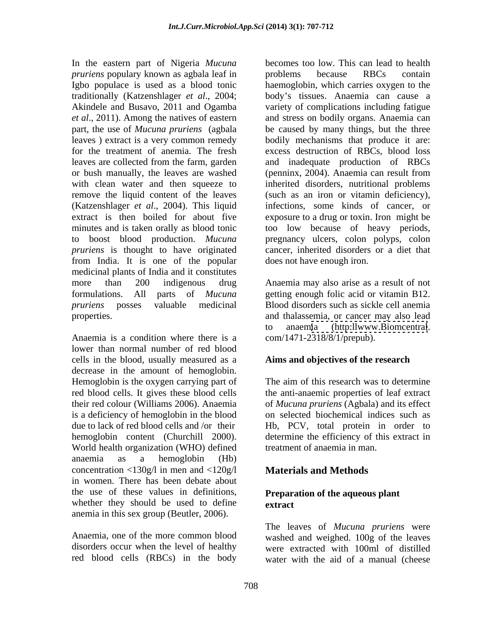In the eastern part of Nigeria *Mucuna pruriens* populary known as agbala leaf in *problems* because RBCs contain (Katzenshlager *et al*., 2004). This liquid *pruriens* is thought to have originated from India. It is one of the popular medicinal plants of India and it constitutes more than 200 indigenous drug Anaemia may also arise as a result of not formulations. All parts of *Mucuna*  getting enough folic acid or vitamin B12. *pruriens* posses valuable medicinal Blood disorders such as sickle cell anemia properties. and thalassemia, or cancer may also lead

Anaemia is a condition where there is a lower than normal number of red blood cells in the blood, usually measured as a decrease in the amount of hemoglobin. World health organization (WHO) defined anaemia as a hemoglobin (Hb) concentration <130g/l in men and <120g/l in women. There has been debate about the use of these values in definitions, whether they should be used to define extract anemia in this sex group (Beutler, 2006).

red blood cells (RBCs) in the body

Igbo populace is used as a blood tonic haemoglobin, which carries oxygen to the traditionally (Katzenshlager *et al.*, 2004; body's tissues. Anaemia can cause a Akindele and Busavo, 2011 and Ogamba variety of complications including fatigue *et al*., 2011). Among the natives of eastern and stress on bodily organs. Anaemia can part, the use of *Mucuna pruriens* (agbala be caused by many things, but the three leaves ) extract is a very common remedy bodily mechanisms that produce it are: for the treatment of anemia. The fresh excess destruction of RBCs, blood loss leaves are collected from the farm, garden and inadequate production of RBCs or bush manually, the leaves are washed (penninx, 2004). Anaemia can result from with clean water and then squeeze to inherited disorders, nutritional problems remove the liquid content of the leaves (such as an iron or vitamin deficiency), extract is then boiled for about five exposure to a drug or toxin. Iron might be minutes and is taken orally as blood tonic too low because of heavy periods, to boost blood production. *Mucuna*  pregnancy ulcers, colon polyps, colon becomes too low. This can lead to health problems because RBCs contain infections, some kinds of cancer, or cancer, inherited disorders or a diet that does not have enough iron.

> to anaemia [\(http:llwww.Biomcentral](http:llwww.Biomcentral). com/1471-2318/8/1/prepub).

### **Aims and objectives of the research**

Hemoglobin is the oxygen carrying part of The aim of this research was to determine red blood cells. It gives these blood cells the anti-anaemic properties of leaf extract their red colour (Williams 2006). Anaemia of *Mucuna pruriens* (Agbala) and its effect is a deficiency of hemoglobin in the blood on selected biochemical indices such as due to lack of red blood cells and /or their Hb, PCV, total protein in order to hemoglobin content (Churchill 2000). determine the efficiency of this extract in treatment of anaemia in man.

# **Materials and Methods**

## **Preparation of the aqueous plant extract**

Anaemia, one of the more common blood washed and weighed. 100g of the leaves disorders occur when the level of healthy were extracted with 100ml of distilled The leaves of *Mucuna pruriens* were water with the aid of a manual (cheese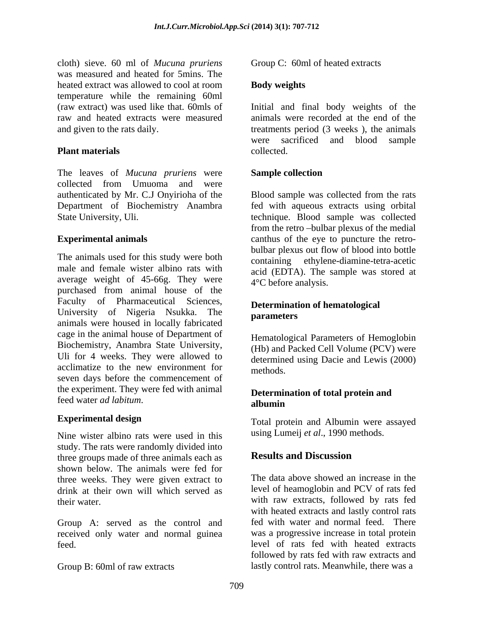cloth) sieve. 60 ml of *Mucuna pruriens* was measured and heated for 5mins. The heated extract was allowed to cool at room **Body weights** temperature while the remaining 60ml

The leaves of *Mucuna pruriens* were collected from Umuoma and were authenticated by Mr. C.J Onyirioha of the Blood sample was collected from the rats Department of Biochemistry Anambra

The animals used for this study were both male and female wister albino rats with average weight of 45-66g. They were purchased from animal house of the Faculty of Pharmaceutical Sciences, University of Nigeria Nsukka. The **parameters** animals were housed in locally fabricated cage in the animal house of Department of Biochemistry, Anambra State University, Uli for 4 weeks. They were allowed to acclimatize to the new environment for methods seven days before the commencement of the experiment. They were fed with animal feed water *ad labitum*.

Nine wister albino rats were used in this study. The rats were randomly divided into<br>three groups made of three animals each as<br>**Results and Discussion** three groups made of three animals each as shown below. The animals were fed for three weeks. They were given extract to drink at their own will which served as

Group A: served as the control and received only water and normal guinea

Group C: 60ml of heated extracts

### **Body weights**

(raw extract) was used like that. 60mls of Initial and final body weights of the raw and heated extracts were measured animals were recorded at the end of the and given to the rats daily. treatments period (3 weeks ), the animals **Plant materials** eollected. were sacrificed and blood sample collected.

## **Sample collection**

State University, Uli. technique. Blood sample was collected **Experimental animals** examples of the eye to puncture the retrofed with aqueous extracts using orbital from the retro-bulbar plexus of the medial bulbar plexus out flow of blood into bottle containing ethylene-diamine-tetra-acetic acid (EDTA). The sample was stored at 4°C before analysis.

### **Determination of hematological parameters**

Hematological Parameters of Hemoglobin (Hb) and Packed Cell Volume (PCV) were determined using Dacie and Lewis (2000) methods.

### **Determination of total protein and albumin**

**Experimental design** Total protein and Albumin were assayed using Lumeij *et al*., 1990 methods.

# **Results and Discussion**

their water. with raw extracts, followed by rats fed feed. level of rats fed with heated extracts Group B: 60ml of raw extracts lastly control rats. Meanwhile, there was a The data above showed an increase in the level of heamoglobin and PCV of rats fed with heated extracts and lastly control rats fed with water and normal feed. There was a progressive increase in total protein followed by rats fed with raw extracts and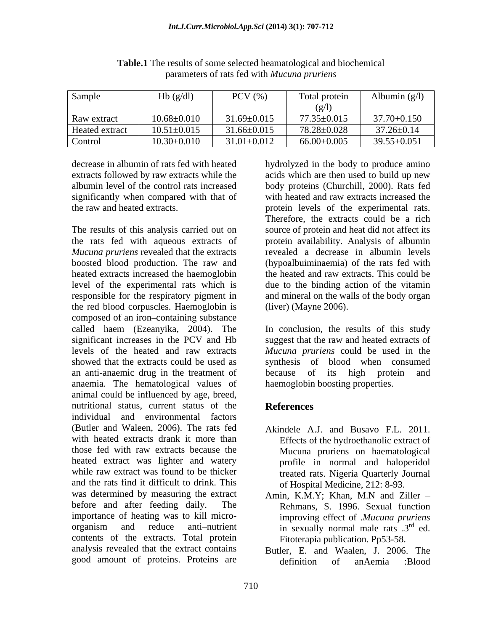| Sample         | Hb(g/dl)          | PCV (%)           | Total protein   | Albumin $(g/l)$  |
|----------------|-------------------|-------------------|-----------------|------------------|
|                |                   |                   | (g/l)           |                  |
| Raw extract    | $10.68 \pm 0.010$ | $31.69 \pm 0.015$ | 77.35±0.015     | 37.70+0.150      |
| Heated extract | $10.51 \pm 0.015$ | $31.66 \pm 0.015$ | 78.28±0.028     | $37.26 \pm 0.14$ |
| Control        | $10.30 \pm 0.010$ | $31.01 \pm 0.012$ | $66.00\pm0.005$ | $39.55 + 0.051$  |

**Table.1** The results of some selected heamatological and biochemical parameters of rats fed with *Mucuna pruriens*

*Mucuna pruriens* revealed that the extracts boosted blood production. The raw and heated extracts increased the haemoglobin level of the experimental rats which is responsible for the respiratory pigment in the red blood corpuscles. Haemoglobin is composed of an iron-containing substance called haem (Ezeanyika, 2004). The In conclusion, the results of this study significant increases in the PCV and Hb suggest that the raw and heated extracts of levels of the heated and raw extracts *Mucuna pruriens* could be used in the showed that the extracts could be used as synthesis of blood when consumed an anti-anaemic drug in the treatment of because of its high protein and anaemia. The hematological values of animal could be influenced by age, breed, nutritional status, current status of the **References** individual and environmental factors (Butler and Waleen, 2006). The rats fed Akindele A.J. and Busavo F.L. 2011. with heated extracts drank it more than those fed with raw extracts because the heated extract was lighter and watery profile in normal and haloperidol while raw extract was found to be thicker **the extract extended** rats. Nigeria Quarterly Journal and the rats find it difficult to drink. This was determined by measuring the extract Amin, K.M.Y; Khan, M.N and Ziller before and after feeding daily. The Rehmans, S. 1996. Sexual function importance of heating was to kill micro- improving effect of .*Mucuna pruriens* organism and reduce anti-nutrient in sexually normal male rats  $3<sup>rd</sup>$  ed. contents of the extracts. Total protein analysis revealed that the extract contains Butler, E. and Waalen, J. 2006. The good amount of proteins. Proteins are  $\qquad$  definition of anAemia :Blood

decrease in albumin of rats fed with heated hydrolyzed in the body to produce amino extracts followed by raw extracts while the acids which are then used to build up new albumin level of the control rats increased body proteins (Churchill, 2000). Rats fed significantly when compared with that of with heated and raw extracts increased the the raw and heated extracts. protein levels of the experimental rats. The results of this analysis carried out on source of protein and heat did not affect its the rats fed with aqueous extracts of protein availability. Analysis of albumin Therefore, the extracts could be a rich revealed a decrease in albumin levels (hypoalbuiminaemia) of the rats fed with the heated and raw extracts. This could be due to the binding action of the vitamin and mineral on the walls of the body organ (liver) (Mayne 2006).

> because of its high protein and haemoglobin boosting properties.

### **References**

- Effects of the hydroethanolic extract of Mucuna pruriens on haematological of Hospital Medicine, 212: 8-93.
- rd<sub>od</sub> ed. Fitoterapia publication. Pp53-58.
- definition of anAemia :Blood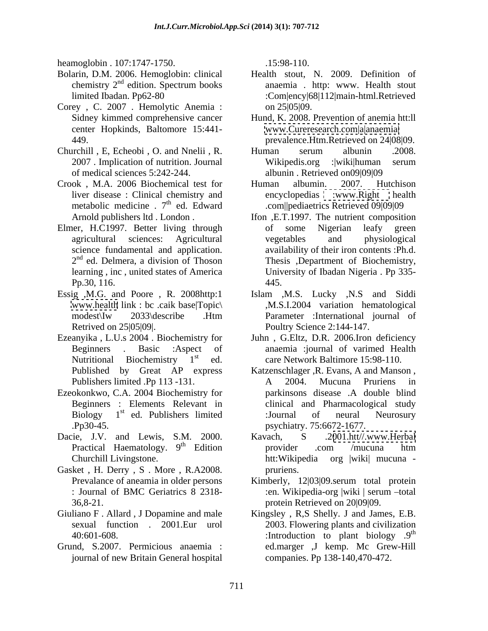heamoglobin . 107:1747-1750. 15:98-110.

- chemistry 2<sup>nd</sup> edition. Spectrum books
- Corey , C. 2007 . Hemolytic Anemia : center Hopkinds, Baltomore 15:441- 449. prevalence.Htm.Retrieved on 24|08|09.
- Churchill , E, Echeobi , O. and Nnelii , R.
- Crook , M.A. 2006 Biochemical test for metabolic medicine  $.7<sup>th</sup>$  ed. Edward
- Elmer, H.C1997. Better living through of some Nigerian leafy green  $2<sup>nd</sup>$  ed. Delmera, a division of Thoson
- 
- Ezeanyika , L.U.s 2004 . Biochemistry for Juhn , G.Eltz, D.R. 2006.Iron deficiency
- 
- Dacie, J.V. and Lewis, S.M. 2000. Kavach, S. 2001.htt//www.Herbal
- Gasket, H. Derry, S. More, R.A2008. pruriens.
- Giuliano F . Allard , J Dopamine and male Kingsley , R,S Shelly. J and James, E.B.
- Grund, S.2007. Permicious anaemia : journal of new Britain General hospital

.15:98-110.

- Bolarin, D.M. 2006. Hemoglobin: clinical Health stout, N. 2009. Definition of <sup>nd</sup> edition. Spectrum books anaemia . http: www. Health stout edition. Spectrum books anaemia. http: www. Health stout limited Ibadan. Pp62-80 :Com|ency|68|112|main-html.Retrieved on 25|05|09.
	- Sidney kimmed comprehensive cancer Hund, K. 2008. Prevention of anemia htt:ll [www.Cureresearch.com|a|anaemia|](http://www.Cureresearch.com|a|anaemia|)
	- 2007 . Implication of nutrition. Journal of medical sciences 5:242-244. albunin . Retrieved on09|09|09 Human serum albunin .2008. Wikipedis.org :|wiki|human serum
	- liver disease : Clinical chemistry and <sup>th</sup> ed. Edward .com||pediaetrics Retrieved 09|09|09 Human albumin. 2007. Hutchison encyclopedias [:www.Right](http://www.Right) health
	- Arnold publishers ltd . London . Ifon ,E.T.1997. The nutrient composition agricultural sciences: Agricultural science fundamental and application. availability of their iron contents :Ph.d. 2<sup>nd</sup> ed. Delmera, a division of Thoson Thesis ,Department of Biochemistry, learning , inc , united states of America University of Ibadan Nigeria . Pp 335- Pp.30, 116. of some Nigerian leafy green vegetables and physiological 445.
- Essig ,M.G. and Poore , R. 2008http:1 Islam ,M.S. Lucky ,N.S and Siddi [www.health](http://www.health) link : bc .caik base|Topic\ ,M.S.I.2004 variation hematological modest\Iw 2033\describe .Htm Parameter :International journal of Retrived on 25|05|09|. Poultry Science 2:144-147. Parameter :International journal of
	- Beginners . Basic :Aspect of anaemia :journal of varimed Health Nutritional Biochemistry 1<sup>st</sup> ed. care Network Baltimore 15:98-110.
- Published by Great AP express Katzenschlager ,R. Evans, A and Manson , Publishers limited .Pp 113 -131. A 2004. Mucuna Pruriens in Ezeokonkwo, C.A. 2004 Biochemistry for Beginners : Elements Relevant in clinical and Pharmacological study Biology  $1<sup>st</sup>$  ed. Publishers limited :Journal of neural Neurosury <sup>st</sup> ed. Publishers limited :Journal of neural Neurosury .Pp30-45. psychiatry. 75:6672-1677. A 2004. Mucuna Pruriens in parkinsons disease .A double blind :Journal of neural Neurosury
	- Practical Haematology. 9<sup>th</sup> Edition provider .com /mucuna htm <sup>th</sup> Edition provider .com /mucuna htm Churchill Livingstone. The example of the extent of the extent of the extent of the churchill Livingstone. Kavach, S .2[001.htt//.www.Herbal](http://www.Herbal) provider .com /mucuna htm htt:Wikipedia org |wiki| mucuna pruriens.
	- Prevalance of aneamia in older persons Kimberly, 12|03|09.serum total protein : Journal of BMC Geriatrics 8 2318- 36,8-21. protein Retrieved on 20|09|09. :en. Wikipedia-org |wiki | serum --total
	- sexual function . 2001.Eur urol 2003. Flowering plants and civilization 40:601-608. Superiorm and the state of the state of the state of the state of the state of the state of the state of the state of the state of the state of the state of the state of the state of the state of the state of the contract of the contract of the contract of the contract of the contract of the contract of the contract of the contract of the contract of the contract of the contract of the contract of the contract of the contract o ed.marger ,J kemp. Mc Grew-Hill companies. Pp 138-140,470-472.